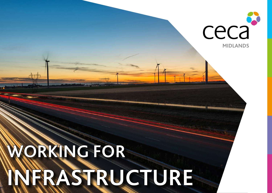# **WORKING FOR INFRASTRUCTURE**

**MIDLANDS**

ceca

8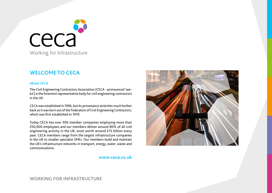

# **WELCOME TO CECA**

# **About CECA**

The Civil Engineering Contractors Association (CECA - pronounced 'seeka') is the foremost representative body for civil engineering contractors in the UK.

CECA was established in 1996, but its provenance stretches much further back as it was born out of the Federation of Civil Engineering Contractors, which was first established in 1919.

Today CECA has over 300 member companies employing more than 250,000 employees and our members deliver around 80% of all civil engineering activity in the UK, work worth around £15 billion every year. CECA members range from the largest infrastructure companies in the UK to smaller specialist SMEs. Our members build and maintain the UK's infrastructure networks in transport, energy, water, waste and communications.

**www.ceca.co.uk**

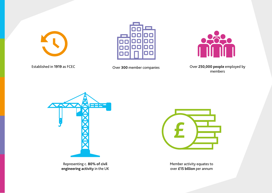







Established in **1919** as FCEC Over **300** member companies Over **250,000 people** employed by members



Representing c. **80% of civil engineering activity** in the UK



Member activity equates to over **£15 billion** per annum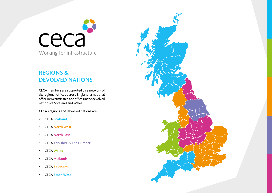

# **REGIONS & DEVOLVED NATIONS**

CECA members are supported by a network of six regional offices across England, a national office in Westminster, and offices in the devolved nations of Scotland and Wales.

CECA's regions and devolved nations are:

- CECA **Scotland**
- CECA **North West**
- CECA **North East**
- CECA **Yorkshire & The Humber**
- CECA **Wales**
- CECA **Midlands**
- CECA **Southern**
- CECA **South West**

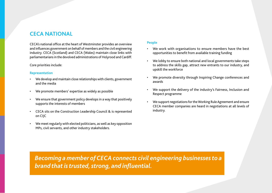# **CECA NATIONAL**

CECA's national office at the heart of Westminster provides an overview and influences government on behalf of members and the civil engineering industry. CECA (Scotland) and CECA (Wales) maintain close links with parliamentarians in the devolved administrations of Holyrood and Cardiff.

### Core priorities include:

### **Representation**

- We develop and maintain close relationships with clients, government and the media
- We promote members' expertise as widely as possible
- We ensure that government policy develops in a way that positively supports the interests of members
- CECA sits on the Construction Leadership Council & is represented on CIJC
- We meet regularly with elected politicians, as well as key opposition MPs, civil servants, and other industry stakeholders.

### **People**

- We work with organisations to ensure members have the best opportunities to benefit from available training funding
- We lobby to ensure both national and local governments take steps to address the skills gap, attract new entrants to our industry, and upskill the workforce
- We promote diversity through Inspiring Change conferences and awards
- We support the delivery of the industry's Fairness, Inclusion and Respect programme
- We support negotiations for the Working Rule Agreement and ensure CECA member companies are heard in negotiations at all levels of industry.

*Becoming a member of CECA connects civil engineering businesses to a brand that is trusted, strong, and influential.*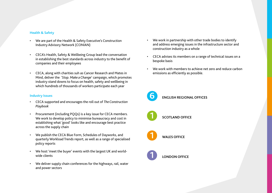# **Health & Safety**

- We are part of the Health & Safety Executive's Construction Industry Advisory Network (CONIAN)
- CECA's Health, Safety & Wellbeing Group lead the conversation in establishing the best standards across industry to the benefit of companies and their employees
- CECA, along with charities suh as Cancer Research and Mates in Mind, deliver the '*Stop. Make a Change*' campaign, which promotes industry stand downs to focus on health, safety and wellbeing in which hundreds of thousands of workers participate each year

# **Industry Issues**

- CECA supported and encourages the roll out of *The Construction Playbook*
- Procurement (including PQQs) is a key issue for CECA members. We work to develop policy to minimise bureaucracy and cost in establishing what 'good' looks like and encourage best practice across the supply chain
- We publish the CECA Blue Form, Schedules of Dayworks, and quarterly Workload Trends report, as well as a range of specialised policy reports
- We host 'meet the buyer' events with the largest UK and worldwide clients
- We deliver supply chain conferences for the highways, rail, water and power sectors
- We work in partnership with other trade bodies to identify and address emerging issues in the infrastructure sector and construction industry as a whole
- CECA advises its members on a range of technical issues on a bespoke basis
- We work with members to achieve net zero and reduce carbon emissions as efficiently as possible.





**1 SCOTLAND OFFICE**



**1 WALES OFFICE**



**1 LONDON OFFICE**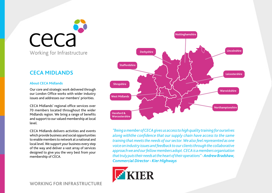

# **CECA MIDLANDS**

# **About CECA Midlands**

Our core and strategic work delivered through our London Office works with wider industry issues and addresses our members' priorities.

CECA Midlands' regional office services over 70 members located throughout the wider Midlands region. We bring a range of benefits and support to our valued membership at local level.

CECA Midlands delivers activities and events which provide business and social opportunities to enable members to network at a national and local level. We support your business every step of the way and deliver a vast array of services designed to give you the very best from your membership of CECA.



*"Being a member of CECA gives us access to high quality training for ourselves along withthe confidence that our supply chain have access to the same training that meets the needs of our sector. We also feel represented as one voice on industry issues and feedback to our clients through the collaborative approach we and our fellow members adopt. CECA is a members organisation that truly puts their needs at the heart of their operations" - Andrew Bradshaw, Commercial Director - Kier Highways*

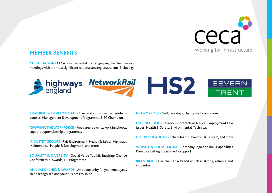

# **MEMBER BENEFITS**

**CLIENT LIAISON -** CECA is instrumental in arranging regular client liaison meetings with the most significant national and regional clients, including:



**TRAINING & DEVELOPMENT -** Free and subsidised schedule of courses, Management Development Programme, NEC Champion

**GROWING THE WORKFORCE -** Free careers events, work in schools, support apprenticeship programmes

**INDUSTRY GROUPS -** Rail, Environment, Health & Safety, Highways Maintenance, People & Development, and more

**EQUALITY & DIVERSITY -** Social Value Toolkit, Inspiring Change Conferences & Awards, FIR Programme

**ANNUAL DINNER & AWARDS -** An opportunity for your employees to be recognised and your business to shine

**NETWORKING -** Golf, race days, charity walks and more

**FREE HELPLINE -** Taxation, Contractual Advice, Employment Law issues, Health & Safety, Environmental, Technical

**FREE PUBLICATIONS -** Schedules of Dayworks, Blue Form, and more

**WEBSITE & SOCIAL MEDIA -** Company logo and link, Capabilities Directory Listing, social media support

**BRANDING - Use the CECA Brand which is strong, reliable and** influential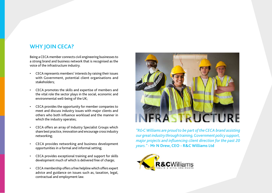# **WHY JOIN CECA?**

Being a CECA member connects civil engineering businesses to a strong brand and business network that is recognised as the voice of the infrastructure industry.

- CECA represents members' interests by raising their issues with Government, potential client organisations and stakeholders;
- CECA promotes the skills and expertise of members and the vital role the sector plays in the social, economic and environmental well-being of the UK;
- CECA provides the opportunity for member companies to meet and discuss industry issues with major clients and others who both influence workload and the manner in which the industry operates;
- CECA offers an array of Industry Specialist Groups which share best practice, innovation and encourage cross industry networking;
- CECA provides networking and business development opportunities in a formal and informal setting;
- CECA provides exceptional training and support for skills development much of which is delivered free of charge;
- CECA membership offers a free helpline which offers expert advice and guidance on issues such as, taxation, legal, contractual and employment law.



*"R&C Williams are proud to be part of the CECA brand assisting our great industry through training, Government policy support, major projects and influencing client direction for the past 20 years." -* **Mr N Drew, CEO - R&C Williams Ltd**

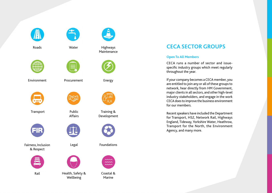





Transport Public



Fairness, Inclusion & Respect





Roads Water Highways



Environment Procurement Energy



Affairs





Rail Health, Safety & Wellbeing



Maintenance





Training & Development



# Legal Foundations



Coastal & Marine

# **CECA SECTOR GROUPS**

# **Open To All Members**

CECA runs a number of sector and issuespecific industry groups which meet regularly throughout the year.

If your company becomes a CECA member, you are entitled to join any or all of these groups to network, hear directly from HM Government, major clients in all sectors, and other high-level industry stakeholders, and engage in the work CECA does to improve the business environment for our members.

Recent speakers have included the Department for Transport, HS2, Network Rail, Highways England, Tideway, Yorkshire Water, Heathrow, Transport for the North, the Environment Agency, and many more.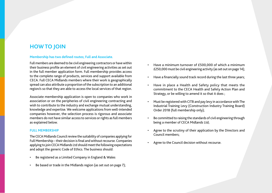# **HOW TO JOIN**

# **Membership has two defined routes; Full and Associate.**

Full members are deemed to be civil engineering contractors or have within their business profile an element of civil engineering activities as set out in the full member application form. Full membership provides access to the complete range of products, services and support available from CECA. Full CECA Midlands members where their work is geographically spread can also attribute a proportion of the subscription to an additional region/s so that they are able to access the local services of that region.

Associate membership application is open to companies who work in association or on the peripheries of civil engineering contracting and wish to contribute to the industry and exchange mutual understanding, knowledge and expertise. We welcome applications from well-intended companies however, the selection process is rigorous and associate members do not have similar access to services or rights as full members as explained below.

# **FULL MEMBERSHIP**

The CECA Midlands Council review the suitability of companies applying for Full Membership – their decision is final and without recourse. Companies applying to join CECA Midlands Ltd should meet the following expectations and adopt the generic Code of Ethics. The business should:

- Be registered as a Limited Company in England & Wales
- Be based or trade in the Midlands region (as set out on page 7);
- Have a minimum turnover of £500,000 of which a minimum £250,000 must be civil engineering activity (as set out on page 14);
- Have a financially sound track record during the last three years;
- Have in place a Health and Safety policy that meets the commitment to the CECA Health and Safety Action Plan and Strategy, or be willing to amend it so that it does ;
- Must be registered with CITB and pay levy in accordance with The Industrial Training Levy (Construction Industry Training Board) Order 2018 (full membership only);
- Be committed to raising the standards of civil engineering through being a member of CECA Midlands Ltd;
- Agree to the scrutiny of their application by the Directors and Council members;
- Agree to the Council decision without recourse.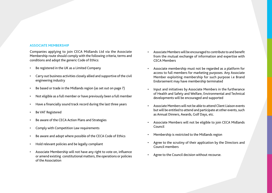# **ASSOCIATE MEMBERSHIP**

Companies applying to join CECA Midlands Ltd via the Associate Membership route should comply with the following criteria, terms and conditions and adopt the generic Code of Ethics:

- Be registered in the UK as a Limited Company
- Carry out business activities closely allied and supportive of the civil engineering industry
- Be based or trade in the Midlands region (as set out on page 7)
- Not eligible as a full member or have previously been a full member
- Have a financially sound track record during the last three years
- Be VAT Registered
- Be aware of the CECA Action Plans and Strategies
- Comply with Competition Law requirements
- Be aware and adopt where possible of the CECA Code of Ethics
- Hold relevant policies and be legally compliant
- Associate Membership will not have any right to vote on, influence or amend existing constitutional matters, the operations or policies of the Association
- Associate Members will be encouraged to contribute to and benefit from the mutual exchange of information and expertise with CECA Members
- Associate membership must not be regarded as a platform for access to full members for marketing purposes. Any Associate Member exploiting membership for such purpose i.e Brand Endorsement may have membership terminated
- Input and initiatives by Associate Members in the furtherance of Health and Safety and Welfare, Environmental and Technical developments will be encouraged and supported
- Associate Members will not be able to attend Client Liaison events but will be entitled to attend and participate at other events, such as Annual Dinners, Awards, Golf Days, etc.
- Associate Members will not be eligible to join CECA Midlands Council
- Membership is restricted to the Midlands region
- Agree to the scrutiny of their application by the Directors and Council members
- Agree to the Council decision without recourse.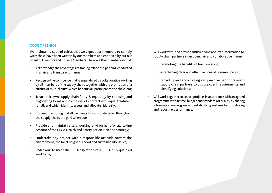# **CODE OF ETHICS**

We maintain a code of ethics that we expect our members to comply with; these have been written by our members and endorsed by our our Board of Directors and Council Members. These are that members should:

- Acknowledge the advantages of trading relationships being conducted in a fair and transparent manner;
- Recognise the confidence that is engendered by collaborative working by all members of the supply chain, together with the promotion of a culture of mutual trust, which benefits all participants and the client;
- Treat their own supply chain fairly & equitably by choosing and negotiating forms and conditions of contract with equal treatment for all, and which identify, assess and allocate risk fairly;
- Commit to ensuring that all payments for work undertaken throughout the supply chain, are paid when due;
- Provide and maintain a safe working environment for all, taking account of the CECA Health and Safety Action Plan and Strategy;
- Undertake any project with a responsible attitude toward the environment, the local neighbourhood and sustainability issues;
- Endeavour to meet the CECA aspiration of a 100% fully qualified workforce;
- Will work with, and provide sufficient and accurate information to, supply chain partners in an open, fair and collaborative manner:
	- promoting the benefits of team-working;
	- establishing clear and effective lines of communication;
	- providing and encouraging early involvement of relevant supply chain partners to discuss client requirements and identifying solutions;
- Will work together to deliver projects in accordance with an agreed programme within time, budget and standards of quality by sharing information on progress and establishing systems for monitoring and reporting performance.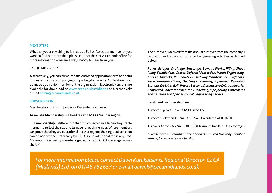### **NEXT STEPS**

Whether you are wishing to join us as a Full or Associate member or just want to find out more then please contact the CECA Midlands office for more information – we are always happy to hear from you.

### Call: **01746 762657**

Alternatively, you can complete the enclosed application form and send it to us with you accompanying supporting documents. Application must be made by a senior member of the organization. Electronic versions are available for download at [www.ceca.co.uk/midlands](http://www.ceca.co.uk/midlands) or alternatively e-mail [admin@cecamidlands.co.uk](mailto:%20admin%40cecamidlands.co.uk?subject=CECA%20Midlands%20membership%20enquiry).

### **SUBSCRIPTION**

Membership runs from January - December each year.

**Associate Membership** is a fixed fee at £1200 + VAT per region.

**Full membership** is different in that it is collected in a fair and equitable manner to reflect the size and turnover of each member. Where members can prove that they are operational in other regions the single subscription can be apportioned internally by CECA so no additional fee is required. Maximum fee-paying members get automatic CECA coverage across the UK.

The turnover is derived from the annual turnover from the company's last set of audited accounts for civil engineering activities as defined below:

*Roads, Bridges, Drainage, Sewerage, Sewage Works, Piling, Sheet Piling, Foundations, Coastal Defence/ Protection, Marine Engineering, Bulk Earthworks, Remediation, Highway Maintenance, Surfacing, Telecommunications, Ducting & Cabling, Pipelines, Pumping Stations & Mains, Rail, Private Sector Infrastructure & Groundworks, Reinforced Concrete Structures, Tunnelling, Pipe Jacking, Cofferdams and Caissons and Specialist Civil Engineering Services.* 

### **Bands and membership fees:**

Turnover up to £2.7m - £1200 Fixed Fee

Turnover Between £2.7m - £66.7m – Calculated at 0.045%

Turnover Above £66.7m - £30,000 (Maximum fixed fee – UK coverage)

*\*Please note a 6 month notice period is required from any member wishing to terminate membership.* 

*For more information please contact Dawn Karakatsanis, Regional Director, CECA (Midlands) Ltd, on 01746 762657 or e-mail dawnk@cecamidlands.co.uk*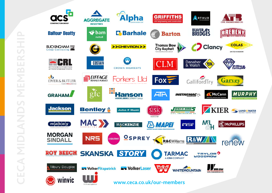